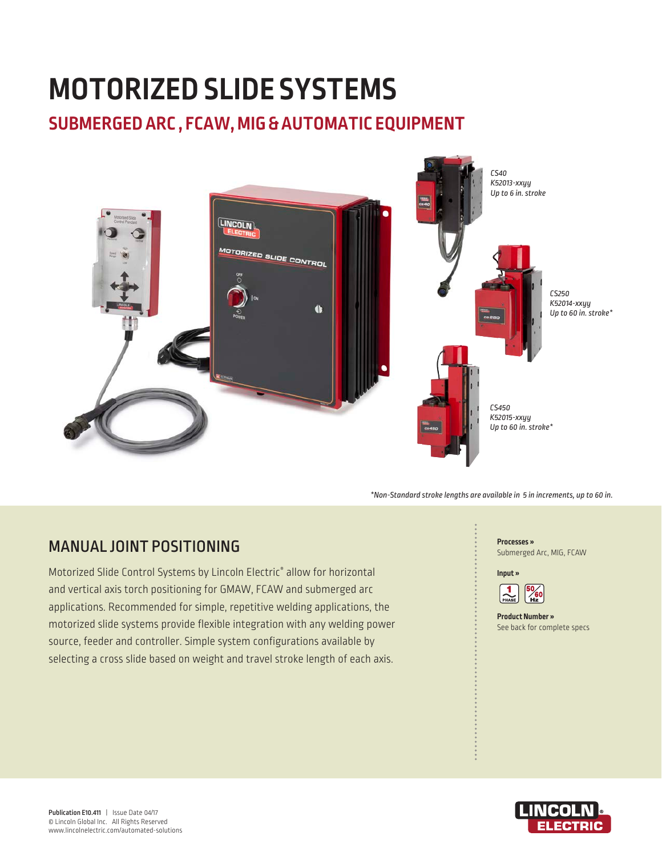# **MOTORIZED SLIDE SYSTEMS**

# **SUBMERGED ARC , FCAW, MIG & AUTOMATIC EQUIPMENT**



*\*Non-Standard stroke lengths are available in 5 in increments, up to 60 in.* 

# MANUAL JOINT POSITIONING

Motorized Slide Control Systems by Lincoln Electric® allow for horizontal and vertical axis torch positioning for GMAW, FCAW and submerged arc applications. Recommended for simple, repetitive welding applications, the motorized slide systems provide flexible integration with any welding power source, feeder and controller. Simple system configurations available by selecting a cross slide based on weight and travel stroke length of each axis.





**Product Number »**  See back for complete specs